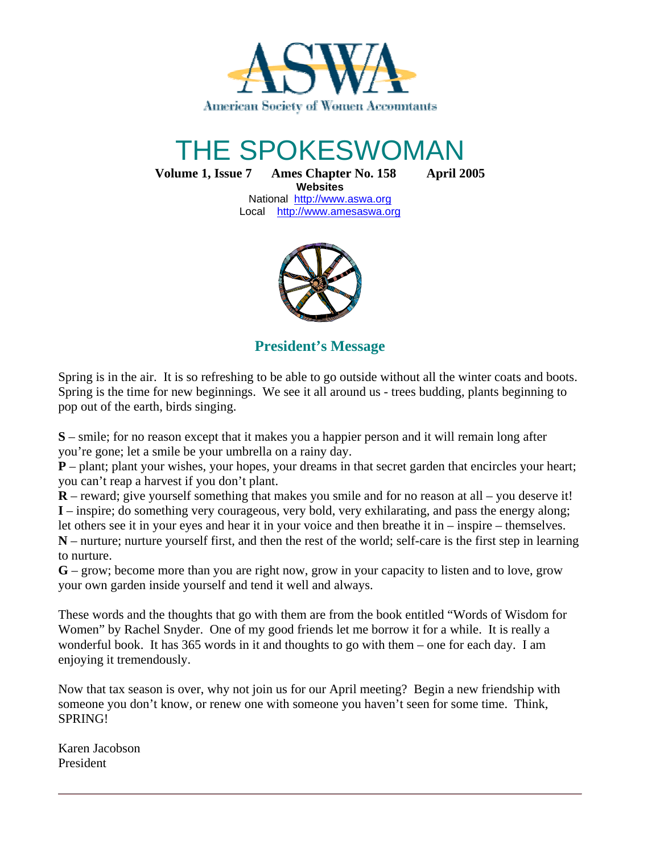

# THE SPOKESWOMAN

**Volume 1, Issue 7 Ames Chapter No. 158 April 2005**

**Websites**  National http://www.aswa.org Local http://www.amesaswa.org



**President's Message**

Spring is in the air. It is so refreshing to be able to go outside without all the winter coats and boots. Spring is the time for new beginnings. We see it all around us - trees budding, plants beginning to pop out of the earth, birds singing.

**S** – smile; for no reason except that it makes you a happier person and it will remain long after you're gone; let a smile be your umbrella on a rainy day.

**P** – plant; plant your wishes, your hopes, your dreams in that secret garden that encircles your heart; you can't reap a harvest if you don't plant.

**R** – reward; give yourself something that makes you smile and for no reason at all – you deserve it! **I** – inspire; do something very courageous, very bold, very exhilarating, and pass the energy along; let others see it in your eyes and hear it in your voice and then breathe it in – inspire – themselves.

**N** – nurture; nurture yourself first, and then the rest of the world; self-care is the first step in learning to nurture.

**G** – grow; become more than you are right now, grow in your capacity to listen and to love, grow your own garden inside yourself and tend it well and always.

These words and the thoughts that go with them are from the book entitled "Words of Wisdom for Women" by Rachel Snyder. One of my good friends let me borrow it for a while. It is really a wonderful book. It has 365 words in it and thoughts to go with them – one for each day. I am enjoying it tremendously.

Now that tax season is over, why not join us for our April meeting? Begin a new friendship with someone you don't know, or renew one with someone you haven't seen for some time. Think, SPRING!

Karen Jacobson President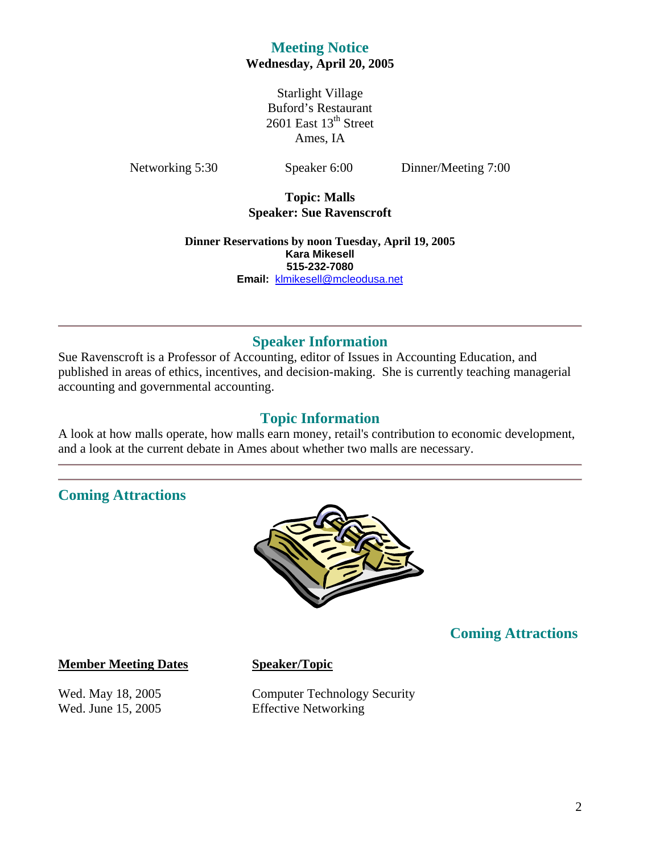# **Meeting Notice Wednesday, April 20, 2005**

Starlight Village Buford's Restaurant  $2601$  East  $13<sup>th</sup>$  Street Ames, IA

Networking 5:30 Speaker 6:00 Dinner/Meeting 7:00

**Topic: Malls Speaker: Sue Ravenscroft** 

**Dinner Reservations by noon Tuesday, April 19, 2005 Kara Mikesell 515-232-7080 Email:** klmikesell@mcleodusa.net

# **Speaker Information**

Sue Ravenscroft is a Professor of Accounting, editor of Issues in Accounting Education, and published in areas of ethics, incentives, and decision-making. She is currently teaching managerial accounting and governmental accounting.

# **Topic Information**

A look at how malls operate, how malls earn money, retail's contribution to economic development, and a look at the current debate in Ames about whether two malls are necessary.

# **Coming Attractions**



# **Coming Attractions**

#### **Member Meeting Dates Speaker/Topic**

Wed. May 18, 2005 Computer Technology Security Wed. June 15, 2005 Effective Networking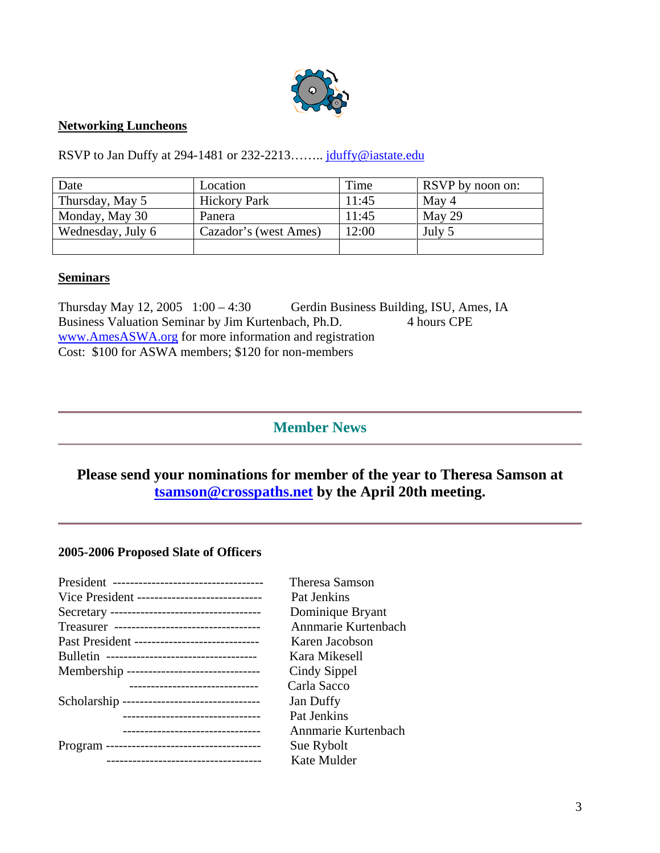

#### **Networking Luncheons**

RSVP to Jan Duffy at 294-1481 or 232-2213........ jduffy@iastate.edu

| Date              | Location              | Time  | RSVP by noon on: |
|-------------------|-----------------------|-------|------------------|
| Thursday, May 5   | <b>Hickory Park</b>   | 11:45 | May 4            |
| Monday, May 30    | Panera                | 11:45 | May 29           |
| Wednesday, July 6 | Cazador's (west Ames) | 12:00 | July 5           |
|                   |                       |       |                  |

#### **Seminars**

Thursday May 12, 2005 1:00 – 4:30 Gerdin Business Building, ISU, Ames, IA<br>Business Valuation Seminar by Jim Kurtenbach, Ph.D. 4 hours CPE Business Valuation Seminar by Jim Kurtenbach, Ph.D. www.AmesASWA.org for more information and registration Cost: \$100 for ASWA members; \$120 for non-members

# **Member News**

# **Please send your nominations for member of the year to Theresa Samson at tsamson@crosspaths.net by the April 20th meeting.**

#### **2005-2006 Proposed Slate of Officers**

|                                                | Theresa Samson      |
|------------------------------------------------|---------------------|
| Vice President ------------------------------- | Pat Jenkins         |
|                                                | Dominique Bryant    |
|                                                | Annmarie Kurtenbach |
| Past President ------------------------------  | Karen Jacobson      |
|                                                | Kara Mikesell       |
| Membership -------------------------------     | Cindy Sippel        |
| -------------------------------                | Carla Sacco         |
| Scholarship ---------------------------------  | Jan Duffy           |
| ------------------------------                 | Pat Jenkins         |
| -------------------------------                | Annmarie Kurtenbach |
|                                                | Sue Rybolt          |
| -------------------------------------          | Kate Mulder         |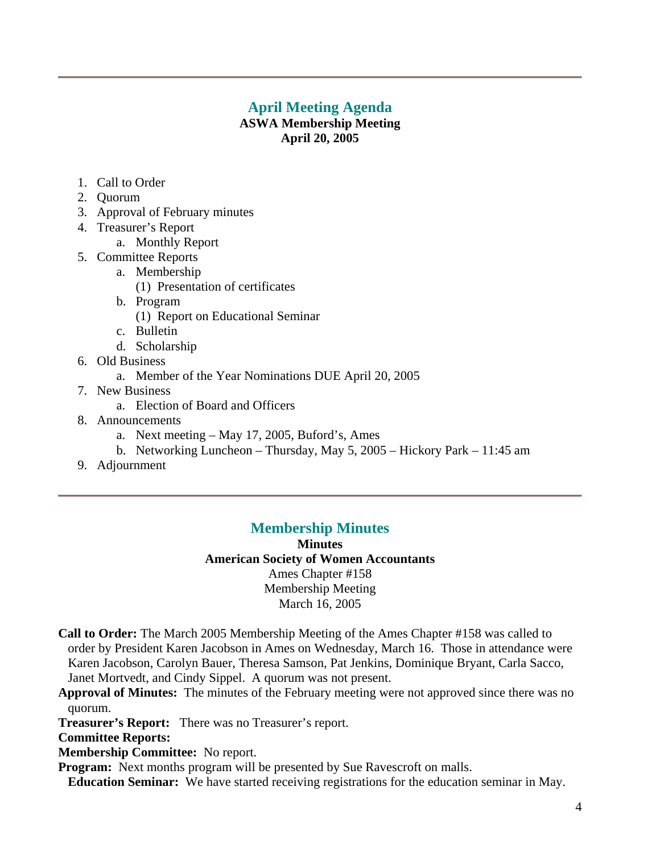# **April Meeting Agenda**

## **ASWA Membership Meeting April 20, 2005**

- 1. Call to Order
- 2. Quorum
- 3. Approval of February minutes
- 4. Treasurer's Report
	- a. Monthly Report
- 5. Committee Reports
	- a. Membership
		- (1) Presentation of certificates
	- b. Program
		- (1) Report on Educational Seminar
	- c. Bulletin
	- d. Scholarship
- 6. Old Business
	- a. Member of the Year Nominations DUE April 20, 2005
- 7. New Business
	- a. Election of Board and Officers
- 8. Announcements
	- a. Next meeting May 17, 2005, Buford's, Ames
	- b. Networking Luncheon Thursday, May 5, 2005 Hickory Park 11:45 am
- 9. Adjournment

# **Membership Minutes**

**Minutes American Society of Women Accountants**  Ames Chapter #158 Membership Meeting March 16, 2005

- **Call to Order:** The March 2005 Membership Meeting of the Ames Chapter #158 was called to order by President Karen Jacobson in Ames on Wednesday, March 16. Those in attendance were Karen Jacobson, Carolyn Bauer, Theresa Samson, Pat Jenkins, Dominique Bryant, Carla Sacco, Janet Mortvedt, and Cindy Sippel. A quorum was not present.
- **Approval of Minutes:** The minutes of the February meeting were not approved since there was no quorum.
- **Treasurer's Report:** There was no Treasurer's report.

**Committee Reports:** 

### **Membership Committee:** No report.

**Program:** Next months program will be presented by Sue Ravescroft on malls.

 **Education Seminar:** We have started receiving registrations for the education seminar in May.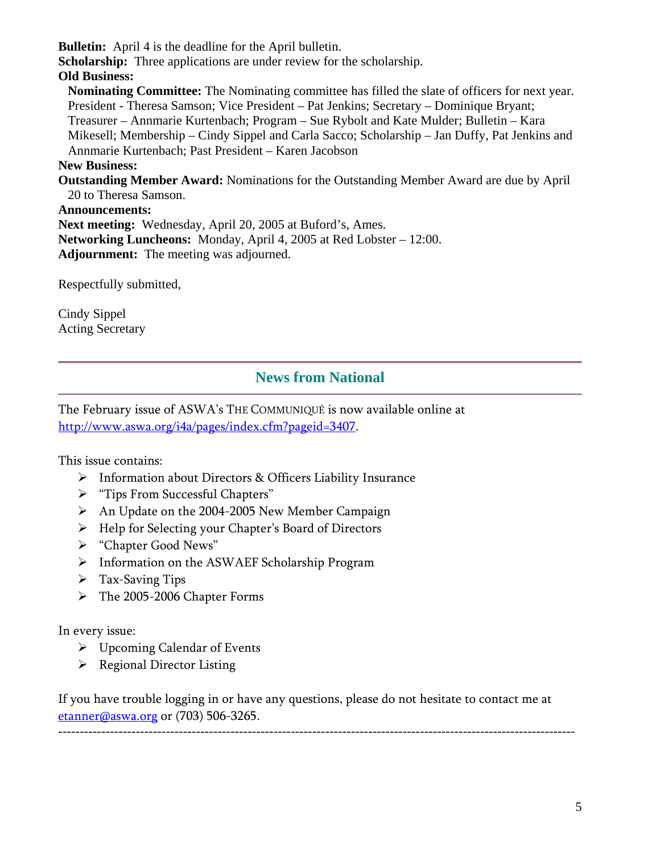**Bulletin:** April 4 is the deadline for the April bulletin.

**Scholarship:** Three applications are under review for the scholarship.

# **Old Business:**

**Nominating Committee:** The Nominating committee has filled the slate of officers for next year. President - Theresa Samson; Vice President – Pat Jenkins; Secretary – Dominique Bryant; Treasurer – Annmarie Kurtenbach; Program – Sue Rybolt and Kate Mulder; Bulletin – Kara Mikesell; Membership – Cindy Sippel and Carla Sacco; Scholarship – Jan Duffy, Pat Jenkins and Annmarie Kurtenbach; Past President – Karen Jacobson **New Business:** 

**Outstanding Member Award:** Nominations for the Outstanding Member Award are due by April 20 to Theresa Samson.

#### **Announcements:**

**Next meeting:** Wednesday, April 20, 2005 at Buford's, Ames. **Networking Luncheons:** Monday, April 4, 2005 at Red Lobster – 12:00. **Adjournment:** The meeting was adjourned.

Respectfully submitted,

Cindy Sippel Acting Secretary

# **News from National**

The February issue of ASWA's THE COMMUNIQUÉ is now available online at http://www.aswa.org/i4a/pages/index.cfm?pageid=3407.

This issue contains:

- Information about Directors & Officers Liability Insurance
- > "Tips From Successful Chapters"
- An Update on the 2004-2005 New Member Campaign
- > Help for Selecting your Chapter's Board of Directors
- "Chapter Good News"
- Information on the ASWAEF Scholarship Program
- $\triangleright$  Tax-Saving Tips
- > The 2005-2006 Chapter Forms

In every issue:

- Upcoming Calendar of Events
- $\triangleright$  Regional Director Listing

If you have trouble logging in or have any questions, please do not hesitate to contact me at etanner@aswa.org or (703) 506-3265.

------------------------------------------------------------------------------------------------------------------------